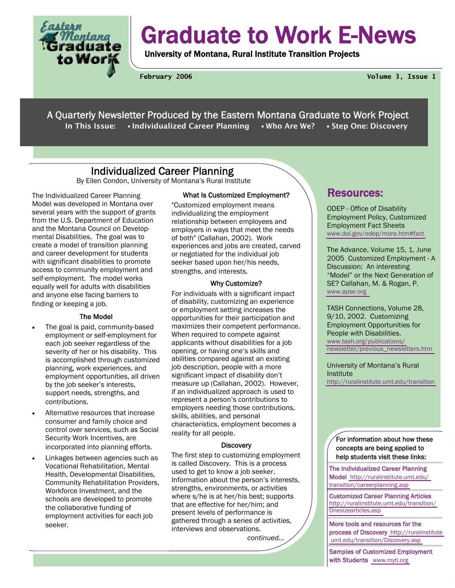

# Graduate to Work E-News

University of Montana, Rural Institute Transition Projects

**February 2006 Volume 3, Issue 1** 

A Quarterly Newsletter Produced by the Eastern Montana Graduate to Work Project In This Issue: • Individualized Career Planning • Who Are We? • Step One: Discovery

## **Individualized Career Planning**<br>By Ellen Condon, University of Montana's Rural Institute

The Individualized Career Planning Model was developed in Montana over several years with the support of grants from the U.S. Department of Education and the Montana Council on Developmental Disabilities. The goal was to create a model of transition planning and career development for students with significant disabilities to promote access to community employment and self-employment. The model works equally well for adults with disabilities and anyone else facing barriers to finding or keeping a job.

#### The Model

- The goal is paid, community-based employment or self-employment for each job seeker regardless of the severity of her or his disability. This is accomplished through customized planning, work experiences, and employment opportunities, all driven by the job seeker's interests, support needs, strengths, and contributions.
- Alternative resources that increase consumer and family choice and control over services, such as Social Security Work Incentives, are incorporated into planning efforts.
- Linkages between agencies such as Vocational Rehabilitation, Mental Health, Developmental Disabilities, Community Rehabilitation Providers, Workforce Investment, and the schools are developed to promote the collaborative funding of employment activities for each job seeker.

#### What Is Customized Employment?

"Customized employment means individualizing the employment relationship between employees and employers in ways that meet the needs of both" (Callahan, 2002). Work experiences and jobs are created, carved or negotiated for the individual job seeker based upon her/his needs, strengths, and interests.

#### Why Customize?

For individuals with a significant impact of disability, customizing an experience or employment setting increases the opportunities for their participation and maximizes their competent performance. When required to compete against applicants without disabilities for a job opening, or having one's skills and abilities compared against an existing job description, people with a more significant impact of disability don't measure up (Callahan, 2002). However, if an individualized approach is used to represent a person's contributions to employers needing those contributions, skills, abilities, and personal characteristics, employment becomes a reality for all people.

#### **Discovery**

The first step to customizing employment is called Discovery. This is a process used to get to know a job seeker. Information about the person's interests, strengths, environments, or activities where s/he is at her/his best; supports that are effective for her/him; and present levels of performance is gathered through a series of activities, interviews and observations.

*continued...* 

### Resources:

ODEP - Office of Disability Employment Policy, Customized Employment Fact Sheets [www.dol.gov/odep/more.htm#fact](http://www.dol.gov/odep/more.htm#fact) 

The Advance, Volume 15, 1, June 2005 Customized Employment - A Discussion: An interesting "Model" or the Next Generation of SE? Callahan, M. & Rogan, P. [www.apse.org](http://www.apse.org) 

TASH Connections, Volume 28, 9/10, 2002. Customizing Employment Opportunities for People with Disabilities. [www.tash.org/publications/](http://www.tash.org/publications/newsletter/previous_newsletters.htm) [newsletter/previous\\_newsletters.htm](http://www.tash.org/publications/newsletter/previous_newsletters.htm) 

University of Montana's Rural Institute <http://ruralinstitute.umt.edu/transition>

For information about how these concepts are being applied to help students visit these links:

The Individualized Career Planning Model [http://ruralinstitute.umt.edu/](http://ruralinstitute.umt.edu/transition/careerplanning.asp) [transition/careerplanning.asp](http://ruralinstitute.umt.edu/transition/careerplanning.asp) 

Customized Career Planning Articles [http://ruralinstitute.umt.edu/transition/](http://ruralinstitute.umt.edu/transition/Onesizearticles.asp) [Onesizearticles.asp](http://ruralinstitute.umt.edu/transition/Onesizearticles.asp) 

More tools and resources for the process of Discovery http://ruralinstitute  [umt.edu/transition/Discovery.asp](http://ruralinstitute.umt.edu/transition/Discovery.asp) 

Samples of Customized Employment with Students [www.myti.org](http://www.myti.org)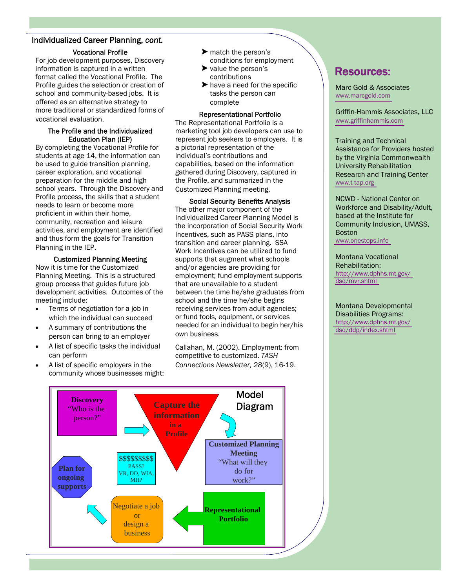## Individualized Career Planning, *cont.*

#### Vocational Profile

For job development purposes, Discovery information is captured in a written format called the Vocational Profile. The Profile guides the selection or creation of school and community-based jobs. It is offered as an alternative strategy to more traditional or standardized forms of vocational evaluation.

#### The Profile and the Individualized Education Plan (IEP)

By completing the Vocational Profile for students at age 14, the information can be used to guide transition planning, career exploration, and vocational preparation for the middle and high school years. Through the Discovery and Profile process, the skills that a student needs to learn or become more proficient in within their home, community, recreation and leisure activities, and employment are identified and thus form the goals for Transition Planning in the IEP.

#### Customized Planning Meeting

Now it is time for the Customized Planning Meeting. This is a structured group process that guides future job development activities. Outcomes of the meeting include:

- Terms of negotiation for a job in which the individual can succeed
- A summary of contributions the person can bring to an employer
- A list of specific tasks the individual can perform
- A list of specific employers in the community whose businesses might:
- $\blacktriangleright$  match the person's conditions for employment
- $\blacktriangleright$  value the person's contributions
- $\blacktriangleright$  have a need for the specific tasks the person can complete

#### Representational Portfolio

The Representational Portfolio is a marketing tool job developers can use to represent job seekers to employers. It is a pictorial representation of the individual's contributions and capabilities, based on the information gathered during Discovery, captured in the Profile, and summarized in the Customized Planning meeting.

Social Security Benefits Analysis The other major component of the Individualized Career Planning Model is the incorporation of Social Security Work Incentives, such as PASS plans, into transition and career planning. SSA Work Incentives can be utilized to fund supports that augment what schools and/or agencies are providing for employment; fund employment supports that are unavailable to a student between the time he/she graduates from school and the time he/she begins receiving services from adult agencies; or fund tools, equipment, or services needed for an individual to begin her/his own business.

Callahan, M. (2002). Employment: from competitive to customized. *TASH Connections Newsletter, 28*(9), 16-19.

## Resources:

Marc Gold & Associates [www.marcgold.com](http://www.marcgold.com) 

Griffin-Hammis Associates, LLC [www.griffinhammis.com](http://www.griffinhammis.com)

Training and Technical Assistance for Providers hosted by the Virginia Commonwealth University Rehabilitation Research and Training Center [www.t-tap.org](http://www.t-tap.org)

NCWD - National Center on Workforce and Disability/Adult, based at the Institute for Community Inclusion, UMASS, Boston

[www.onestops.info](http://www.onestops.info) 

Montana Vocational Rehabilitation: [http://www.dphhs.mt.gov/](http://www.dphhs.mt.gov/dsd/mvr.shtml)  [dsd/mvr.shtml](http://www.dphhs.mt.gov/dsd/mvr.shtml) 

Montana Developmental Disabilities Programs: [http://www.dphhs.mt.gov/](http://www.dphhs.mt.gov/dsd/ddp/index.shtml)  [dsd/ddp/index.shtml](http://www.dphhs.mt.gov/dsd/ddp/index.shtml) 

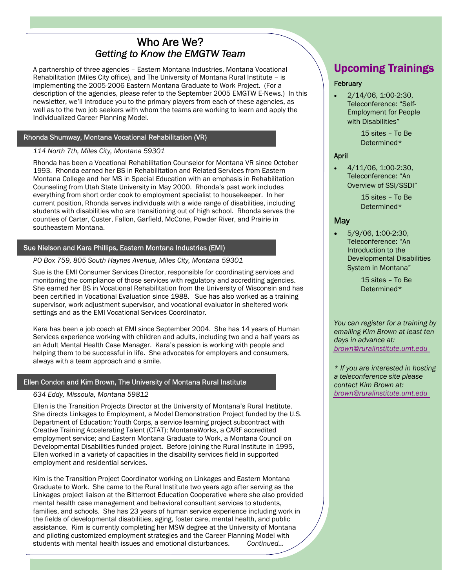## Who Are We? *Getting to Know the EMGTW Team*

A partnership of three agencies – Eastern Montana Industries, Montana Vocational Rehabilitation (Miles City office), and The University of Montana Rural Institute – is implementing the 2005-2006 Eastern Montana Graduate to Work Project. (For a description of the agencies, please refer to the September 2005 EMGTW E-News.) In this newsletter, we'll introduce you to the primary players from each of these agencies, as well as to the two job seekers with whom the teams are working to learn and apply the Individualized Career Planning Model.

#### Rhonda Shumway, Montana Vocational Rehabilitation (VR)

#### *114 North 7th, Miles City, Montana 59301*

Rhonda has been a Vocational Rehabilitation Counselor for Montana VR since October 1993. Rhonda earned her BS in Rehabilitation and Related Services from Eastern Montana College and her MS in Special Education with an emphasis in Rehabilitation Counseling from Utah State University in May 2000. Rhonda's past work includes everything from short order cook to employment specialist to housekeeper. In her current position, Rhonda serves individuals with a wide range of disabilities, including students with disabilities who are transitioning out of high school. Rhonda serves the counties of Carter, Custer, Fallon, Garfield, McCone, Powder River, and Prairie in southeastern Montana.

#### Sue Nielson and Kara Phillips, Eastern Montana Industries (EMI)

#### *PO Box 759, 805 South Haynes Avenue, Miles City, Montana 59301*

Sue is the EMI Consumer Services Director, responsible for coordinating services and monitoring the compliance of those services with regulatory and accrediting agencies. She earned her BS in Vocational Rehabilitation from the University of Wisconsin and has been certified in Vocational Evaluation since 1988. Sue has also worked as a training supervisor, work adjustment supervisor, and vocational evaluator in sheltered work settings and as the EMI Vocational Services Coordinator.

Kara has been a job coach at EMI since September 2004. She has 14 years of Human Services experience working with children and adults, including two and a half years as an Adult Mental Health Case Manager. Kara's passion is working with people and helping them to be successful in life. She advocates for employers and consumers, always with a team approach and a smile.

#### Ellen Condon and Kim Brown, The University of Montana Rural Institute

#### *634 Eddy, Missoula, Montana 59812*

Ellen is the Transition Projects Director at the University of Montana's Rural Institute. She directs Linkages to Employment, a Model Demonstration Project funded by the U.S. Department of Education; Youth Corps, a service learning project subcontract with Creative Training Accelerating Talent (CTAT); MontanaWorks, a CARF accredited employment service; and Eastern Montana Graduate to Work, a Montana Council on Developmental Disabilities-funded project. Before joining the Rural Institute in 1995, Ellen worked in a variety of capacities in the disability services field in supported employment and residential services.

Kim is the Transition Project Coordinator working on Linkages and Eastern Montana Graduate to Work. She came to the Rural Institute two years ago after serving as the Linkages project liaison at the Bitterroot Education Cooperative where she also provided mental health case management and behavioral consultant services to students, families, and schools. She has 23 years of human service experience including work in the fields of developmental disabilities, aging, foster care, mental health, and public assistance. Kim is currently completing her MSW degree at the University of Montana and piloting customized employment strategies and the Career Planning Model with students with mental health issues and emotional disturbances. *Continued…* 

## Upcoming Trainings

#### **February**

• 2/14/06, 1:00-2:30, Teleconference: "Self-Employment for People with Disabilities"

> 15 sites – To Be Determined\*

#### April

• 4/11/06, 1:00-2:30, Teleconference: "An Overview of SSI/SSDI"

> 15 sites – To Be Determined\*

#### May

• 5/9/06, 1:00-2:30, Teleconference: "An Introduction to the Developmental Disabilities System in Montana"

> 15 sites – To Be Determined\*

*You can register for a training by emailing Kim Brown at least ten days in advance at: [brown@ruralinstitute.umt.edu](mailto: brown@ruralinstitute.umt.edu)* 

*\* If you are interested in hosting a teleconference site please contact Kim Brown at: [brown@ruralinstitute.umt.edu](mailto: brown@ruralinstitute.umt.edu)*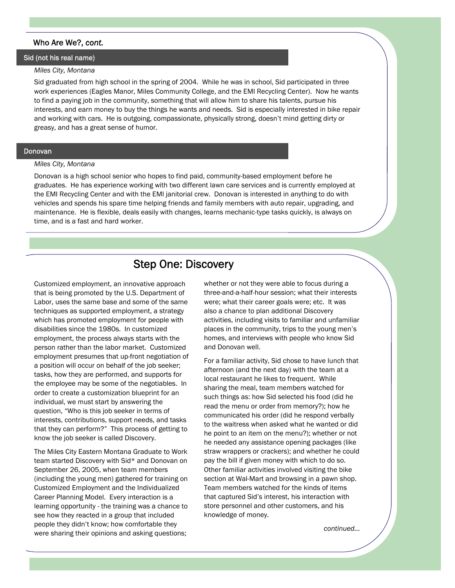#### Who Are We?, *cont.*

#### Sid (not his real name)

#### *Miles City, Montana*

Sid graduated from high school in the spring of 2004. While he was in school, Sid participated in three work experiences (Eagles Manor, Miles Community College, and the EMI Recycling Center). Now he wants to find a paying job in the community, something that will allow him to share his talents, pursue his interests, and earn money to buy the things he wants and needs. Sid is especially interested in bike repair and working with cars. He is outgoing, compassionate, physically strong, doesn't mind getting dirty or greasy, and has a great sense of humor.

#### Donovan

#### *Miles City, Montana*

Donovan is a high school senior who hopes to find paid, community-based employment before he graduates. He has experience working with two different lawn care services and is currently employed at the EMI Recycling Center and with the EMI janitorial crew. Donovan is interested in anything to do with vehicles and spends his spare time helping friends and family members with auto repair, upgrading, and maintenance. He is flexible, deals easily with changes, learns mechanic-type tasks quickly, is always on time, and is a fast and hard worker.

## Step One: Discovery

Customized employment, an innovative approach that is being promoted by the U.S. Department of Labor, uses the same base and some of the same techniques as supported employment, a strategy which has promoted employment for people with disabilities since the 1980s. In customized employment, the process always starts with the person rather than the labor market. Customized employment presumes that up-front negotiation of a position will occur on behalf of the job seeker; tasks, how they are performed, and supports for the employee may be some of the negotiables. In order to create a customization blueprint for an individual, we must start by answering the question, "Who is this job seeker in terms of interests, contributions, support needs, and tasks that they can perform?" This process of getting to know the job seeker is called Discovery.

The Miles City Eastern Montana Graduate to Work team started Discovery with Sid\* and Donovan on September 26, 2005, when team members (including the young men) gathered for training on Customized Employment and the Individualized Career Planning Model. Every interaction is a learning opportunity - the training was a chance to see how they reacted in a group that included people they didn't know; how comfortable they were sharing their opinions and asking questions;

whether or not they were able to focus during a three-and-a-half-hour session; what their interests were; what their career goals were; etc. It was also a chance to plan additional Discovery activities, including visits to familiar and unfamiliar places in the community, trips to the young men's homes, and interviews with people who know Sid and Donovan well.

For a familiar activity, Sid chose to have lunch that afternoon (and the next day) with the team at a local restaurant he likes to frequent. While sharing the meal, team members watched for such things as: how Sid selected his food (did he read the menu or order from memory?); how he communicated his order (did he respond verbally to the waitress when asked what he wanted or did he point to an item on the menu?); whether or not he needed any assistance opening packages (like straw wrappers or crackers); and whether he could pay the bill if given money with which to do so. Other familiar activities involved visiting the bike section at Wal-Mart and browsing in a pawn shop. Team members watched for the kinds of items that captured Sid's interest, his interaction with store personnel and other customers, and his knowledge of money.

*continued...*